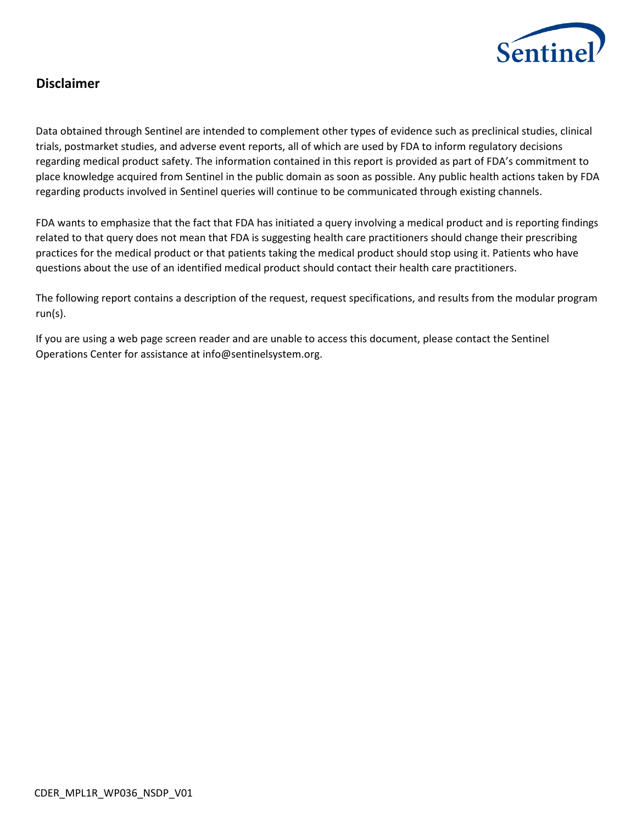

# **Disclaimer**

Data obtained through Sentinel are intended to complement other types of evidence such as preclinical studies, clinical trials, postmarket studies, and adverse event reports, all of which are used by FDA to inform regulatory decisions regarding medical product safety. The information contained in this report is provided as part of FDA's commitment to place knowledge acquired from Sentinel in the public domain as soon as possible. Any public health actions taken by FDA regarding products involved in Sentinel queries will continue to be communicated through existing channels.

FDA wants to emphasize that the fact that FDA has initiated a query involving a medical product and is reporting findings related to that query does not mean that FDA is suggesting health care practitioners should change their prescribing practices for the medical product or that patients taking the medical product should stop using it. Patients who have questions about the use of an identified medical product should contact their health care practitioners.

The following report contains a description of the request, request specifications, and results from the modular program run(s).

If you are using a web page screen reader and are unable to access this document, please contact the Sentinel Operations Center for assistance at info@sentinelsystem.org.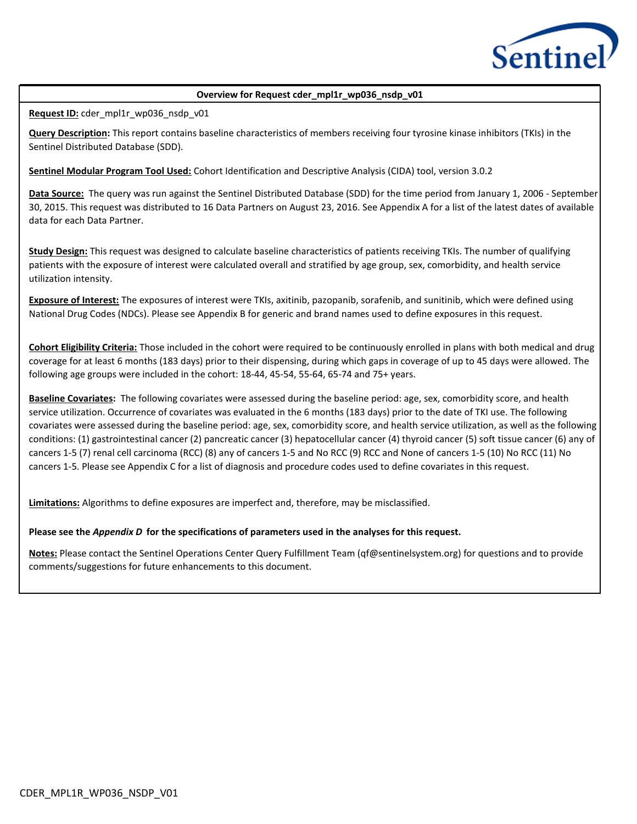

#### **Overview for Request cder\_mpl1r\_wp036\_nsdp\_v01**

**Request ID:** cder\_mpl1r\_wp036\_nsdp\_v01

**Query Description:** This report contains baseline characteristics of members receiving four tyrosine kinase inhibitors (TKIs) in the Sentinel Distributed Database (SDD).

**Sentinel Modular Program Tool Used:** Cohort Identification and Descriptive Analysis (CIDA) tool, version 3.0.2

**Data Source:** The query was run against the Sentinel Distributed Database (SDD) for the time period from January 1, 2006 - September 30, 2015. This request was distributed to 16 Data Partners on August 23, 2016. See Appendix A for a list of the latest dates of available data for each Data Partner.

**Study Design:** This request was designed to calculate baseline characteristics of patients receiving TKIs. The number of qualifying patients with the exposure of interest were calculated overall and stratified by age group, sex, comorbidity, and health service utilization intensity.

**Exposure of Interest:** The exposures of interest were TKIs, axitinib, pazopanib, sorafenib, and sunitinib, which were defined using National Drug Codes (NDCs). Please see Appendix B for generic and brand names used to define exposures in this request.

**Cohort Eligibility Criteria:** Those included in the cohort were required to be continuously enrolled in plans with both medical and drug coverage for at least 6 months (183 days) prior to their dispensing, during which gaps in coverage of up to 45 days were allowed. The following age groups were included in the cohort: 18-44, 45-54, 55-64, 65-74 and 75+ years.

**Baseline Covariates:** The following covariates were assessed during the baseline period: age, sex, comorbidity score, and health service utilization. Occurrence of covariates was evaluated in the 6 months (183 days) prior to the date of TKI use. The following covariates were assessed during the baseline period: age, sex, comorbidity score, and health service utilization, as well as the following conditions: (1) gastrointestinal cancer (2) pancreatic cancer (3) hepatocellular cancer (4) thyroid cancer (5) soft tissue cancer (6) any of cancers 1-5 (7) renal cell carcinoma (RCC) (8) any of cancers 1-5 and No RCC (9) RCC and None of cancers 1-5 (10) No RCC (11) No cancers 1-5. Please see Appendix C for a list of diagnosis and procedure codes used to define covariates in this request.

**Limitations:** Algorithms to define exposures are imperfect and, therefore, may be misclassified.

#### **Please see the** *Appendix D* **for the specifications of parameters used in the analyses for this request.**

**Notes:** Please contact the Sentinel Operations Center Query Fulfillment Team (qf@sentinelsystem.org) for questions and to provide comments/suggestions for future enhancements to this document.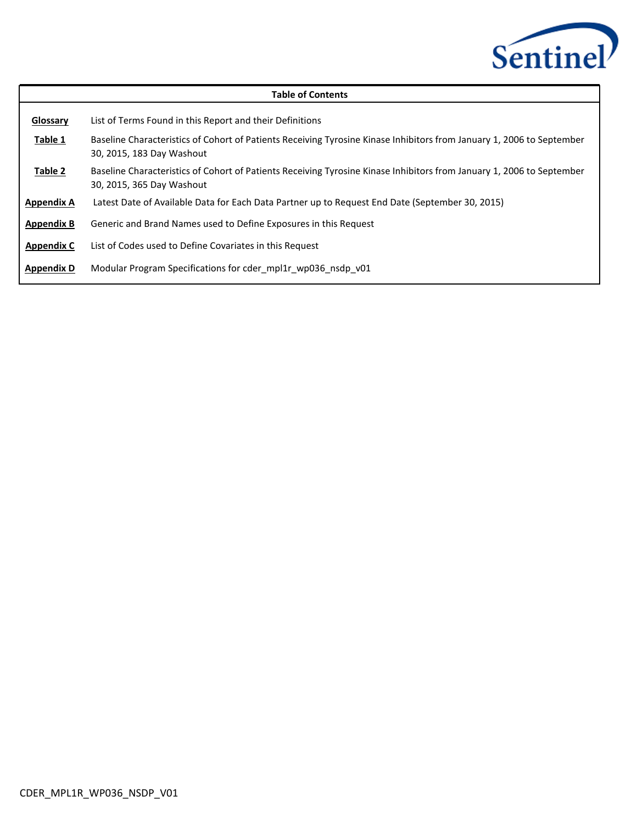

| <b>Table of Contents</b> |                                                                                                                                                    |  |  |  |  |  |  |  |  |  |
|--------------------------|----------------------------------------------------------------------------------------------------------------------------------------------------|--|--|--|--|--|--|--|--|--|
| Glossary                 | List of Terms Found in this Report and their Definitions                                                                                           |  |  |  |  |  |  |  |  |  |
| Table 1                  | Baseline Characteristics of Cohort of Patients Receiving Tyrosine Kinase Inhibitors from January 1, 2006 to September<br>30, 2015, 183 Day Washout |  |  |  |  |  |  |  |  |  |
| Table 2                  | Baseline Characteristics of Cohort of Patients Receiving Tyrosine Kinase Inhibitors from January 1, 2006 to September<br>30, 2015, 365 Day Washout |  |  |  |  |  |  |  |  |  |
| <b>Appendix A</b>        | Latest Date of Available Data for Each Data Partner up to Request End Date (September 30, 2015)                                                    |  |  |  |  |  |  |  |  |  |
| <b>Appendix B</b>        | Generic and Brand Names used to Define Exposures in this Request                                                                                   |  |  |  |  |  |  |  |  |  |
| <b>Appendix C</b>        | List of Codes used to Define Covariates in this Request                                                                                            |  |  |  |  |  |  |  |  |  |
| <b>Appendix D</b>        | Modular Program Specifications for cder mpl1r wp036 nsdp v01                                                                                       |  |  |  |  |  |  |  |  |  |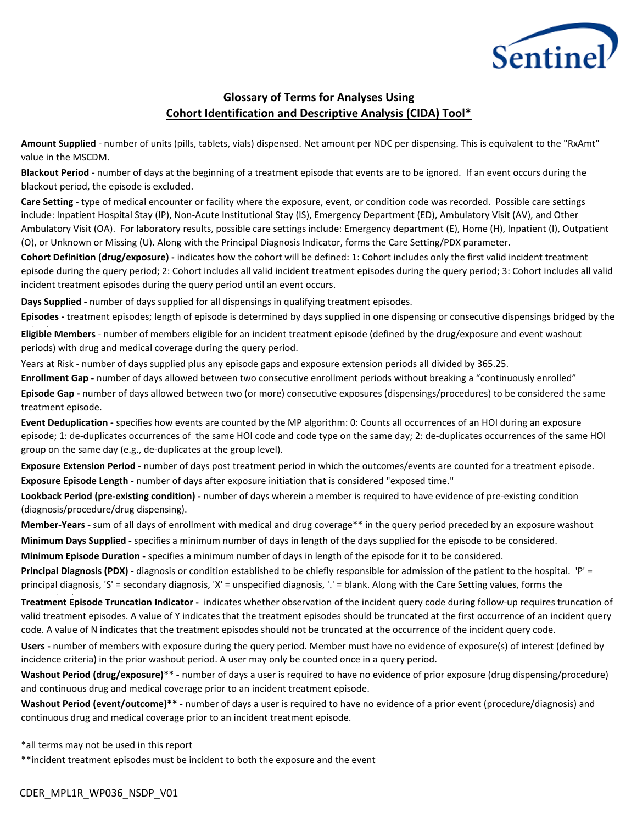

## **Glossary of Terms for Analyses Using Cohort Identification and Descriptive Analysis (CIDA) Tool\***

**Amount Supplied** - number of units (pills, tablets, vials) dispensed. Net amount per NDC per dispensing. This is equivalent to the "RxAmt" value in the MSCDM.

**Blackout Period** - number of days at the beginning of a treatment episode that events are to be ignored. If an event occurs during the blackout period, the episode is excluded.

**Care Setting** - type of medical encounter or facility where the exposure, event, or condition code was recorded. Possible care settings include: Inpatient Hospital Stay (IP), Non-Acute Institutional Stay (IS), Emergency Department (ED), Ambulatory Visit (AV), and Other Ambulatory Visit (OA). For laboratory results, possible care settings include: Emergency department (E), Home (H), Inpatient (I), Outpatient (O), or Unknown or Missing (U). Along with the Principal Diagnosis Indicator, forms the Care Setting/PDX parameter.

**Cohort Definition (drug/exposure) -** indicates how the cohort will be defined: 1: Cohort includes only the first valid incident treatment episode during the query period; 2: Cohort includes all valid incident treatment episodes during the query period; 3: Cohort includes all valid incident treatment episodes during the query period until an event occurs.

**Days Supplied -** number of days supplied for all dispensings in qualifying treatment episodes.

**Episodes -** treatment episodes; length of episode is determined by days supplied in one dispensing or consecutive dispensings bridged by the

**Eligible Members** - number of members eligible for an incident treatment episode (defined by the drug/exposure and event washout periods) with drug and medical coverage during the query period.

Years at Risk - number of days supplied plus any episode gaps and exposure extension periods all divided by 365.25.

**Enrollment Gap -** number of days allowed between two consecutive enrollment periods without breaking a "continuously enrolled" Episode Gap - number of days allowed between two (or more) consecutive exposures (dispensings/procedures) to be considered the same treatment episode.

**Event Deduplication -** specifies how events are counted by the MP algorithm: 0: Counts all occurrences of an HOI during an exposure episode; 1: de-duplicates occurrences of the same HOI code and code type on the same day; 2: de-duplicates occurrences of the same HOI group on the same day (e.g., de-duplicates at the group level).

**Exposure Extension Period -** number of days post treatment period in which the outcomes/events are counted for a treatment episode. **Exposure Episode Length -** number of days after exposure initiation that is considered "exposed time."

**Lookback Period (pre-existing condition) -** number of days wherein a member is required to have evidence of pre-existing condition (diagnosis/procedure/drug dispensing).

**Member-Years -** sum of all days of enrollment with medical and drug coverage\*\* in the query period preceded by an exposure washout **Minimum Days Supplied -** specifies a minimum number of days in length of the days supplied for the episode to be considered.

**Minimum Episode Duration -** specifies a minimum number of days in length of the episode for it to be considered.

**Principal Diagnosis (PDX) -** diagnosis or condition established to be chiefly responsible for admission of the patient to the hospital. 'P' = principal diagnosis, 'S' = secondary diagnosis, 'X' = unspecified diagnosis, '.' = blank. Along with the Care Setting values, forms the

Treatment Episode Truncation Indicator - indicates whether observation of the incident query code during follow-up requires truncation of valid treatment episodes. A value of Y indicates that the treatment episodes should be truncated at the first occurrence of an incident query code. A value of N indicates that the treatment episodes should not be truncated at the occurrence of the incident query code.

**Users -** number of members with exposure during the query period. Member must have no evidence of exposure(s) of interest (defined by incidence criteria) in the prior washout period. A user may only be counted once in a query period.

**Washout Period (drug/exposure)\*\* -** number of days a user is required to have no evidence of prior exposure (drug dispensing/procedure) and continuous drug and medical coverage prior to an incident treatment episode.

**Washout Period (event/outcome)\*\* -** number of days a user is required to have no evidence of a prior event (procedure/diagnosis) and continuous drug and medical coverage prior to an incident treatment episode.

\*all terms may not be used in this report

\*\*incident treatment episodes must be incident to both the exposure and the event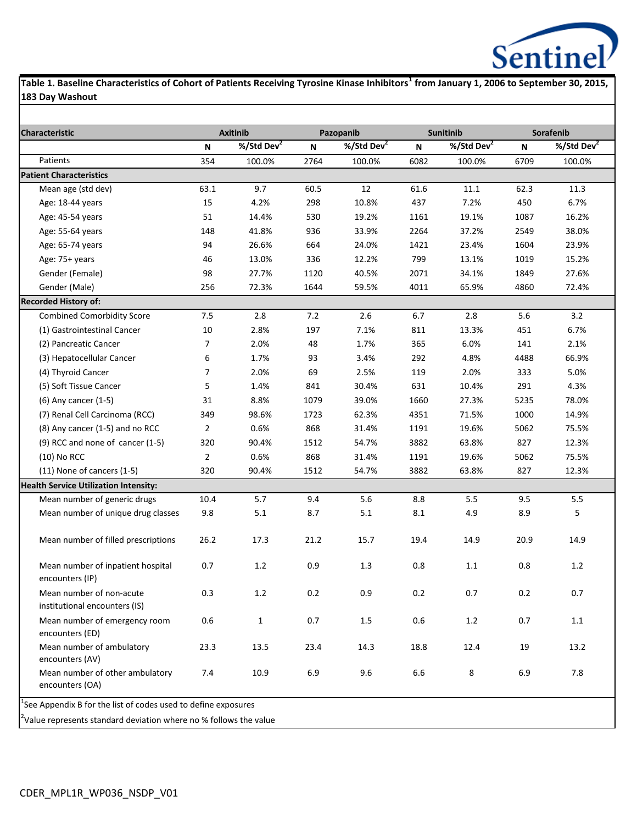

**Table 1. Baseline Characteristics of Cohort of Patients Receiving Tyrosine Kinase Inhibitors<sup>1</sup> from January 1, 2006 to September 30, 2015, 183 Day Washout**

| <b>Characteristic</b>                                     |                | <b>Axitinib</b>        |         | Pazopanib      |             | <b>Sunitinib</b>       | Sorafenib |                        |  |
|-----------------------------------------------------------|----------------|------------------------|---------|----------------|-------------|------------------------|-----------|------------------------|--|
|                                                           | N              | %/Std Dev <sup>2</sup> | N       | %/Std Dev $^2$ | $\mathsf N$ | %/Std Dev <sup>2</sup> | N         | %/Std Dev <sup>2</sup> |  |
| Patients                                                  | 354            | 100.0%                 | 2764    | 100.0%         | 6082        | 100.0%                 | 6709      | 100.0%                 |  |
| <b>Patient Characteristics</b>                            |                |                        |         |                |             |                        |           |                        |  |
| Mean age (std dev)                                        | 63.1           | 9.7                    | 60.5    | 12             | 61.6        | 11.1                   | 62.3      | 11.3                   |  |
| Age: 18-44 years                                          | 15             | 4.2%                   | 298     | 10.8%          | 437         | 7.2%                   | 450       | 6.7%                   |  |
| Age: 45-54 years                                          | 51             | 14.4%                  | 530     | 19.2%          | 1161        | 19.1%                  | 1087      | 16.2%                  |  |
| Age: 55-64 years                                          | 148            | 41.8%                  | 936     | 33.9%          | 2264        | 37.2%                  | 2549      | 38.0%                  |  |
| Age: 65-74 years                                          | 94             | 26.6%                  | 664     | 24.0%          | 1421        | 23.4%                  | 1604      | 23.9%                  |  |
| Age: 75+ years                                            | 46             | 13.0%                  | 336     | 12.2%          | 799         | 13.1%                  | 1019      | 15.2%                  |  |
| Gender (Female)                                           | 98             | 27.7%                  | 1120    | 40.5%          | 2071        | 34.1%                  | 1849      | 27.6%                  |  |
| Gender (Male)                                             | 256            | 72.3%                  | 1644    | 59.5%          | 4011        | 65.9%                  | 4860      | 72.4%                  |  |
| <b>Recorded History of:</b>                               |                |                        |         |                |             |                        |           |                        |  |
| <b>Combined Comorbidity Score</b>                         | 7.5            | 2.8                    | 7.2     | 2.6            | 6.7         | 2.8                    | 5.6       | 3.2                    |  |
| (1) Gastrointestinal Cancer                               | 10             | 2.8%                   | 197     | 7.1%           | 811         | 13.3%                  | 451       | 6.7%                   |  |
| (2) Pancreatic Cancer                                     | 7              | 2.0%                   | 48      | 1.7%           | 365         | 6.0%                   | 141       | 2.1%                   |  |
| (3) Hepatocellular Cancer                                 | 6              | 1.7%                   | 93      | 3.4%           | 292         | 4.8%                   | 4488      | 66.9%                  |  |
| (4) Thyroid Cancer                                        | 7              | 2.0%                   | 69      | 2.5%           | 119         | 2.0%                   | 333       | 5.0%                   |  |
| (5) Soft Tissue Cancer                                    | 5              | 1.4%                   | 841     | 30.4%          | 631         | 10.4%                  | 291       | 4.3%                   |  |
| (6) Any cancer (1-5)                                      | 31             | 8.8%                   | 1079    | 39.0%          | 1660        | 27.3%                  | 5235      | 78.0%                  |  |
| (7) Renal Cell Carcinoma (RCC)                            | 349            | 98.6%                  | 1723    | 62.3%          | 4351        | 71.5%                  | 1000      | 14.9%                  |  |
| (8) Any cancer (1-5) and no RCC                           | $\overline{2}$ | 0.6%                   | 868     | 31.4%          | 1191        | 19.6%                  | 5062      | 75.5%                  |  |
| (9) RCC and none of cancer (1-5)                          | 320            | 90.4%                  | 1512    | 54.7%          | 3882        | 63.8%                  | 827       | 12.3%                  |  |
| $(10)$ No RCC                                             | $\overline{2}$ | 0.6%                   | 868     | 31.4%          | 1191        | 19.6%                  | 5062      | 75.5%                  |  |
| (11) None of cancers (1-5)                                | 320            | 90.4%                  | 1512    | 54.7%          | 3882        | 63.8%                  | 827       | 12.3%                  |  |
| <b>Health Service Utilization Intensity:</b>              |                |                        |         |                |             |                        |           |                        |  |
| Mean number of generic drugs                              | 10.4           | 5.7                    | 9.4     | 5.6            | 8.8         | 5.5                    | 9.5       | 5.5                    |  |
| Mean number of unique drug classes                        | 9.8            | 5.1                    | 8.7     | 5.1            | 8.1         | 4.9                    | 8.9       | 5                      |  |
| Mean number of filled prescriptions                       | 26.2           | 17.3                   | 21.2    | 15.7           | 19.4        | 14.9                   | 20.9      | 14.9                   |  |
| Mean number of inpatient hospital<br>encounters (IP)      | 0.7            | 1.2                    | 0.9     | 1.3            | 0.8         | 1.1                    | 0.8       | 1.2                    |  |
| Mean number of non-acute<br>institutional encounters (IS) | 0.3            | $1.2\,$                | $0.2\,$ | 0.9            | $0.2\,$     | $0.7\,$                | $0.2\,$   | 0.7                    |  |
| Mean number of emergency room<br>encounters (ED)          | 0.6            | $\mathbf{1}$           | 0.7     | 1.5            | $0.6\,$     | $1.2\,$                | 0.7       | $1.1\,$                |  |
| Mean number of ambulatory<br>encounters (AV)              | 23.3           | 13.5                   | 23.4    | 14.3           | 18.8        | 12.4                   | 19        | 13.2                   |  |
| Mean number of other ambulatory<br>encounters (OA)        | 7.4            | 10.9                   | 6.9     | 9.6            | 6.6         | 8                      | 6.9       | 7.8                    |  |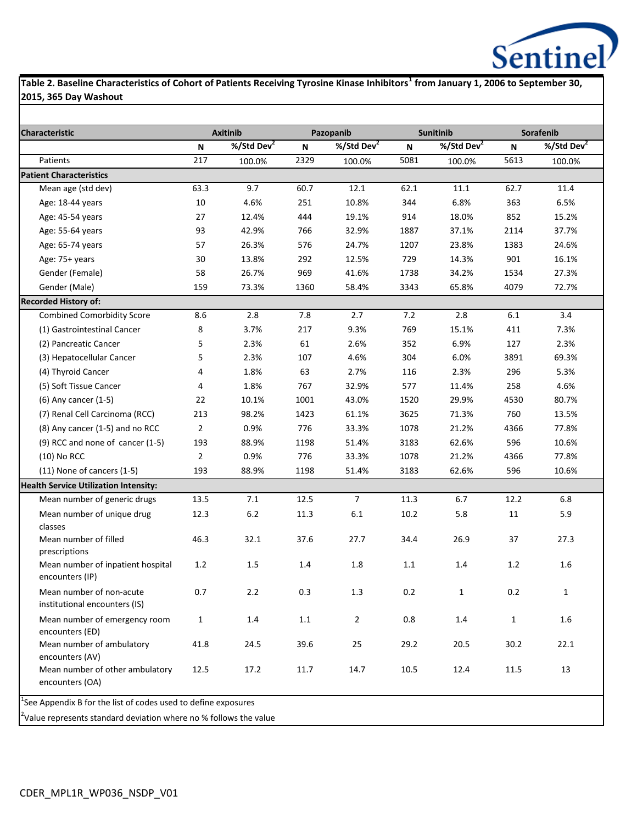

### **Table 2. Baseline Characteristics of Cohort of Patients Receiving Tyrosine Kinase Inhibitors<sup>1</sup> from January 1, 2006 to September 30, 2015, 365 Day Washout**

| <b>Characteristic</b>                                     |                | <b>Axitinib</b>        |      | Pazopanib              |         | <b>Sunitinib</b> | Sorafenib    |                        |  |
|-----------------------------------------------------------|----------------|------------------------|------|------------------------|---------|------------------|--------------|------------------------|--|
|                                                           | N              | %/Std Dev <sup>2</sup> | N    | %/Std Dev <sup>2</sup> | N       | %/Std Dev $^2$   | N            | %/Std Dev <sup>2</sup> |  |
| Patients                                                  | 217            | 100.0%                 | 2329 | 100.0%                 | 5081    | 100.0%           | 5613         | 100.0%                 |  |
| <b>Patient Characteristics</b>                            |                |                        |      |                        |         |                  |              |                        |  |
| Mean age (std dev)                                        | 63.3           | 9.7                    | 60.7 | 12.1                   | 62.1    | 11.1             | 62.7         | 11.4                   |  |
| Age: 18-44 years                                          | 10             | 4.6%                   | 251  | 10.8%                  | 344     | 6.8%             | 363          | 6.5%                   |  |
| Age: 45-54 years                                          | 27             | 12.4%                  | 444  | 19.1%                  | 914     | 18.0%            | 852          | 15.2%                  |  |
| Age: 55-64 years                                          | 93             | 42.9%                  | 766  | 32.9%                  | 1887    | 37.1%            | 2114         | 37.7%                  |  |
| Age: 65-74 years                                          | 57             | 26.3%                  | 576  | 24.7%                  | 1207    | 23.8%            | 1383         | 24.6%                  |  |
| Age: 75+ years                                            | 30             | 13.8%                  | 292  | 12.5%                  | 729     | 14.3%            | 901          | 16.1%                  |  |
| Gender (Female)                                           | 58             | 26.7%                  | 969  | 41.6%                  | 1738    | 34.2%            | 1534         | 27.3%                  |  |
| Gender (Male)                                             | 159            | 73.3%                  | 1360 | 58.4%                  | 3343    | 65.8%            | 4079         | 72.7%                  |  |
| <b>Recorded History of:</b>                               |                |                        |      |                        |         |                  |              |                        |  |
| <b>Combined Comorbidity Score</b>                         | 8.6            | 2.8                    | 7.8  | 2.7                    | 7.2     | 2.8              | 6.1          | 3.4                    |  |
| (1) Gastrointestinal Cancer                               | 8              | 3.7%                   | 217  | 9.3%                   | 769     | 15.1%            | 411          | 7.3%                   |  |
| (2) Pancreatic Cancer                                     | 5              | 2.3%                   | 61   | 2.6%                   | 352     | 6.9%             | 127          | 2.3%                   |  |
| (3) Hepatocellular Cancer                                 | 5              | 2.3%                   | 107  | 4.6%                   | 304     | 6.0%             | 3891         | 69.3%                  |  |
| (4) Thyroid Cancer                                        | 4              | 1.8%                   | 63   | 2.7%                   | 116     | 2.3%             | 296          | 5.3%                   |  |
| (5) Soft Tissue Cancer                                    | 4              | 1.8%                   | 767  | 32.9%                  | 577     | 11.4%            | 258          | 4.6%                   |  |
| (6) Any cancer (1-5)                                      | 22             | 10.1%                  | 1001 | 43.0%                  | 1520    | 29.9%            | 4530         | 80.7%                  |  |
| (7) Renal Cell Carcinoma (RCC)                            | 213            | 98.2%                  | 1423 | 61.1%                  | 3625    | 71.3%            | 760          | 13.5%                  |  |
| (8) Any cancer (1-5) and no RCC                           | $\overline{2}$ | 0.9%                   | 776  | 33.3%                  | 1078    | 21.2%            | 4366         | 77.8%                  |  |
| (9) RCC and none of cancer (1-5)                          | 193            | 88.9%                  | 1198 | 51.4%                  | 3183    | 62.6%            | 596          | 10.6%                  |  |
| $(10)$ No RCC                                             | $\overline{2}$ | 0.9%                   | 776  | 33.3%                  | 1078    | 21.2%            | 4366         | 77.8%                  |  |
| (11) None of cancers (1-5)                                | 193            | 88.9%                  | 1198 | 51.4%                  | 3183    | 62.6%            | 596          | 10.6%                  |  |
| <b>Health Service Utilization Intensity:</b>              |                |                        |      |                        |         |                  |              |                        |  |
| Mean number of generic drugs                              | 13.5           | 7.1                    | 12.5 | $\overline{7}$         | 11.3    | 6.7              | 12.2         | 6.8                    |  |
| Mean number of unique drug<br>classes                     | 12.3           | $6.2\,$                | 11.3 | 6.1                    | 10.2    | 5.8              | 11           | 5.9                    |  |
| Mean number of filled<br>prescriptions                    | 46.3           | 32.1                   | 37.6 | 27.7                   | 34.4    | 26.9             | 37           | 27.3                   |  |
| Mean number of inpatient hospital<br>encounters (IP)      | 1.2            | 1.5                    | 1.4  | 1.8                    | $1.1\,$ | 1.4              | 1.2          | 1.6                    |  |
| Mean number of non-acute<br>institutional encounters (IS) | 0.7            | 2.2                    | 0.3  | 1.3                    | 0.2     | $\mathbf{1}$     | 0.2          | $\mathbf{1}$           |  |
| Mean number of emergency room<br>encounters (ED)          | $\mathbf{1}$   | $1.4\,$                | 1.1  | $\overline{2}$         | 0.8     | 1.4              | $\mathbf{1}$ | 1.6                    |  |
| Mean number of ambulatory<br>encounters (AV)              | 41.8           | 24.5                   | 39.6 | 25                     | 29.2    | 20.5             | 30.2         | 22.1                   |  |
| Mean number of other ambulatory<br>encounters (OA)        | 12.5           | 17.2                   | 11.7 | 14.7                   | 10.5    | 12.4             | 11.5         | 13                     |  |

<sup>2</sup>Value represents standard deviation where no % follows the value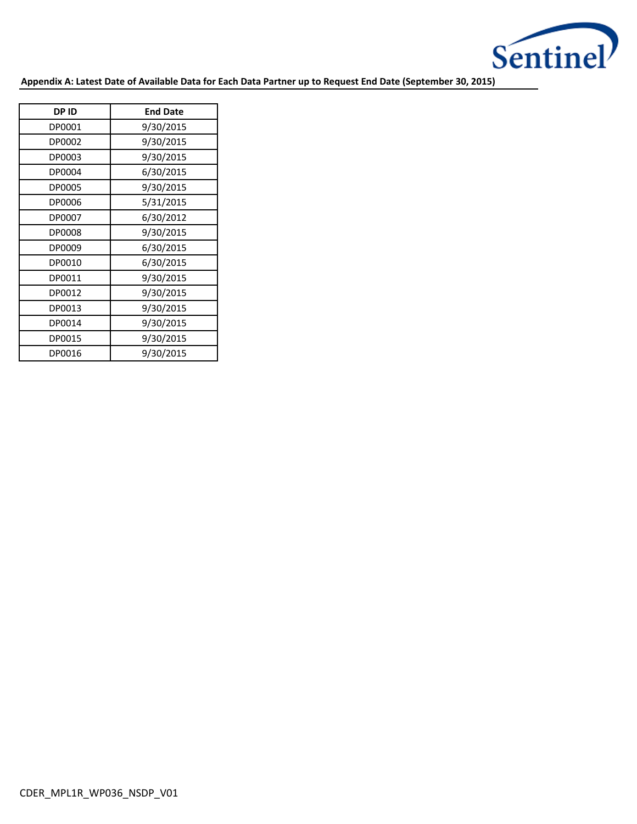

**Appendix A: Latest Date of Available Data for Each Data Partner up to Request End Date (September 30, 2015)**

| <b>DPID</b> | <b>End Date</b> |
|-------------|-----------------|
| DP0001      | 9/30/2015       |
| DP0002      | 9/30/2015       |
| DP0003      | 9/30/2015       |
| DP0004      | 6/30/2015       |
| DP0005      | 9/30/2015       |
| DP0006      | 5/31/2015       |
| DP0007      | 6/30/2012       |
| DP0008      | 9/30/2015       |
| DP0009      | 6/30/2015       |
| DP0010      | 6/30/2015       |
| DP0011      | 9/30/2015       |
| DP0012      | 9/30/2015       |
| DP0013      | 9/30/2015       |
| DP0014      | 9/30/2015       |
| DP0015      | 9/30/2015       |
| DP0016      | 9/30/2015       |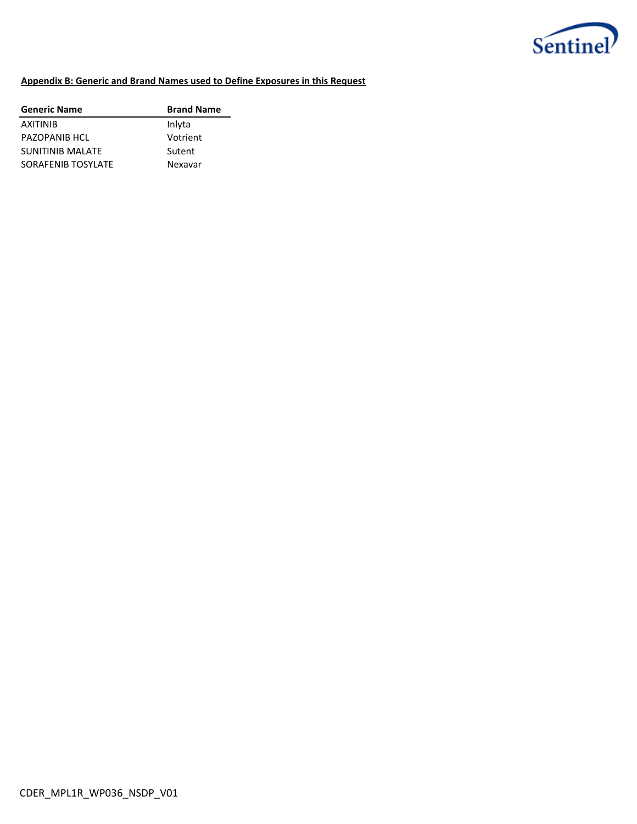

### **Appendix B: Generic and Brand Names used to Define Exposures in this Request**

| <b>Generic Name</b> | <b>Brand Name</b> |
|---------------------|-------------------|
| <b>AXITINIB</b>     | Inlyta            |
| PAZOPANIB HCL       | Votrient          |
| SUNITINIB MALATE    | Sutent            |
| SORAFENIB TOSYLATE  | Nexavar           |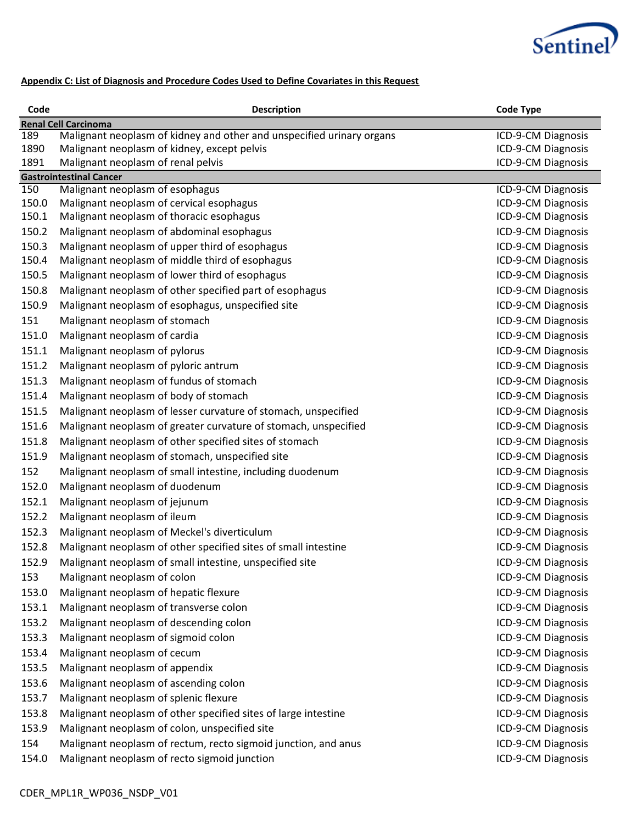

## **Appendix C: List of Diagnosis and Procedure Codes Used to Define Covariates in this Request**

| Code             | <b>Description</b>                                                                                                   | <b>Code Type</b>                         |
|------------------|----------------------------------------------------------------------------------------------------------------------|------------------------------------------|
|                  | <b>Renal Cell Carcinoma</b>                                                                                          |                                          |
| 189<br>1890      | Malignant neoplasm of kidney and other and unspecified urinary organs<br>Malignant neoplasm of kidney, except pelvis | ICD-9-CM Diagnosis<br>ICD-9-CM Diagnosis |
| 1891             | Malignant neoplasm of renal pelvis                                                                                   | ICD-9-CM Diagnosis                       |
|                  | <b>Gastrointestinal Cancer</b>                                                                                       |                                          |
| $\overline{150}$ | Malignant neoplasm of esophagus                                                                                      | ICD-9-CM Diagnosis                       |
| 150.0            | Malignant neoplasm of cervical esophagus                                                                             | ICD-9-CM Diagnosis                       |
| 150.1            | Malignant neoplasm of thoracic esophagus                                                                             | ICD-9-CM Diagnosis                       |
| 150.2            | Malignant neoplasm of abdominal esophagus                                                                            | ICD-9-CM Diagnosis                       |
| 150.3            | Malignant neoplasm of upper third of esophagus                                                                       | ICD-9-CM Diagnosis                       |
| 150.4            | Malignant neoplasm of middle third of esophagus                                                                      | ICD-9-CM Diagnosis                       |
| 150.5            | Malignant neoplasm of lower third of esophagus                                                                       | ICD-9-CM Diagnosis                       |
| 150.8            | Malignant neoplasm of other specified part of esophagus                                                              | ICD-9-CM Diagnosis                       |
| 150.9            | Malignant neoplasm of esophagus, unspecified site                                                                    | ICD-9-CM Diagnosis                       |
| 151              | Malignant neoplasm of stomach                                                                                        | ICD-9-CM Diagnosis                       |
| 151.0            | Malignant neoplasm of cardia                                                                                         | ICD-9-CM Diagnosis                       |
| 151.1            | Malignant neoplasm of pylorus                                                                                        | ICD-9-CM Diagnosis                       |
| 151.2            | Malignant neoplasm of pyloric antrum                                                                                 | ICD-9-CM Diagnosis                       |
| 151.3            | Malignant neoplasm of fundus of stomach                                                                              | ICD-9-CM Diagnosis                       |
| 151.4            | Malignant neoplasm of body of stomach                                                                                | ICD-9-CM Diagnosis                       |
| 151.5            | Malignant neoplasm of lesser curvature of stomach, unspecified                                                       | ICD-9-CM Diagnosis                       |
| 151.6            | Malignant neoplasm of greater curvature of stomach, unspecified                                                      | ICD-9-CM Diagnosis                       |
| 151.8            | Malignant neoplasm of other specified sites of stomach                                                               | ICD-9-CM Diagnosis                       |
| 151.9            | Malignant neoplasm of stomach, unspecified site                                                                      | ICD-9-CM Diagnosis                       |
| 152              | Malignant neoplasm of small intestine, including duodenum                                                            | ICD-9-CM Diagnosis                       |
| 152.0            | Malignant neoplasm of duodenum                                                                                       | ICD-9-CM Diagnosis                       |
| 152.1            | Malignant neoplasm of jejunum                                                                                        | ICD-9-CM Diagnosis                       |
| 152.2            | Malignant neoplasm of ileum                                                                                          | ICD-9-CM Diagnosis                       |
| 152.3            | Malignant neoplasm of Meckel's diverticulum                                                                          | ICD-9-CM Diagnosis                       |
| 152.8            | Malignant neoplasm of other specified sites of small intestine                                                       | ICD-9-CM Diagnosis                       |
| 152.9            | Malignant neoplasm of small intestine, unspecified site                                                              | ICD-9-CM Diagnosis                       |
| 153              | Malignant neoplasm of colon                                                                                          | ICD-9-CM Diagnosis                       |
| 153.0            | Malignant neoplasm of hepatic flexure                                                                                | ICD-9-CM Diagnosis                       |
| 153.1            | Malignant neoplasm of transverse colon                                                                               | ICD-9-CM Diagnosis                       |
| 153.2            | Malignant neoplasm of descending colon                                                                               | ICD-9-CM Diagnosis                       |
| 153.3            | Malignant neoplasm of sigmoid colon                                                                                  | ICD-9-CM Diagnosis                       |
| 153.4            | Malignant neoplasm of cecum                                                                                          | ICD-9-CM Diagnosis                       |
| 153.5            | Malignant neoplasm of appendix                                                                                       | ICD-9-CM Diagnosis                       |
| 153.6            | Malignant neoplasm of ascending colon                                                                                | ICD-9-CM Diagnosis                       |
| 153.7            | Malignant neoplasm of splenic flexure                                                                                | ICD-9-CM Diagnosis                       |
| 153.8            | Malignant neoplasm of other specified sites of large intestine                                                       | ICD-9-CM Diagnosis                       |
| 153.9            | Malignant neoplasm of colon, unspecified site                                                                        | ICD-9-CM Diagnosis                       |
| 154              | Malignant neoplasm of rectum, recto sigmoid junction, and anus                                                       | ICD-9-CM Diagnosis                       |
| 154.0            | Malignant neoplasm of recto sigmoid junction                                                                         | ICD-9-CM Diagnosis                       |
|                  |                                                                                                                      |                                          |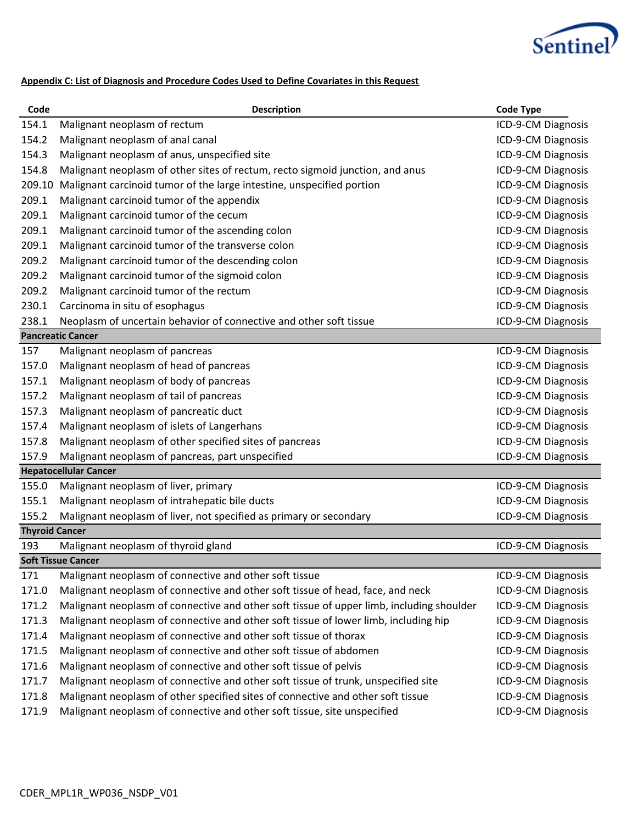

### **Appendix C: List of Diagnosis and Procedure Codes Used to Define Covariates in this Request**

| Code                  | <b>Description</b>                                                                       | <b>Code Type</b>   |
|-----------------------|------------------------------------------------------------------------------------------|--------------------|
| 154.1                 | Malignant neoplasm of rectum                                                             | ICD-9-CM Diagnosis |
| 154.2                 | Malignant neoplasm of anal canal                                                         | ICD-9-CM Diagnosis |
| 154.3                 | Malignant neoplasm of anus, unspecified site                                             | ICD-9-CM Diagnosis |
| 154.8                 | Malignant neoplasm of other sites of rectum, recto sigmoid junction, and anus            | ICD-9-CM Diagnosis |
| 209.10                | Malignant carcinoid tumor of the large intestine, unspecified portion                    | ICD-9-CM Diagnosis |
| 209.1                 | Malignant carcinoid tumor of the appendix                                                | ICD-9-CM Diagnosis |
| 209.1                 | Malignant carcinoid tumor of the cecum                                                   | ICD-9-CM Diagnosis |
| 209.1                 | Malignant carcinoid tumor of the ascending colon                                         | ICD-9-CM Diagnosis |
| 209.1                 | Malignant carcinoid tumor of the transverse colon                                        | ICD-9-CM Diagnosis |
| 209.2                 | Malignant carcinoid tumor of the descending colon                                        | ICD-9-CM Diagnosis |
| 209.2                 | Malignant carcinoid tumor of the sigmoid colon                                           | ICD-9-CM Diagnosis |
| 209.2                 | Malignant carcinoid tumor of the rectum                                                  | ICD-9-CM Diagnosis |
| 230.1                 | Carcinoma in situ of esophagus                                                           | ICD-9-CM Diagnosis |
| 238.1                 | Neoplasm of uncertain behavior of connective and other soft tissue                       | ICD-9-CM Diagnosis |
|                       | <b>Pancreatic Cancer</b>                                                                 |                    |
| 157                   | Malignant neoplasm of pancreas                                                           | ICD-9-CM Diagnosis |
| 157.0                 | Malignant neoplasm of head of pancreas                                                   | ICD-9-CM Diagnosis |
| 157.1                 | Malignant neoplasm of body of pancreas                                                   | ICD-9-CM Diagnosis |
| 157.2                 | Malignant neoplasm of tail of pancreas                                                   | ICD-9-CM Diagnosis |
| 157.3                 | Malignant neoplasm of pancreatic duct                                                    | ICD-9-CM Diagnosis |
| 157.4                 | Malignant neoplasm of islets of Langerhans                                               | ICD-9-CM Diagnosis |
| 157.8                 | Malignant neoplasm of other specified sites of pancreas                                  | ICD-9-CM Diagnosis |
| 157.9                 | Malignant neoplasm of pancreas, part unspecified                                         | ICD-9-CM Diagnosis |
|                       | <b>Hepatocellular Cancer</b>                                                             |                    |
| 155.0                 | Malignant neoplasm of liver, primary                                                     | ICD-9-CM Diagnosis |
| 155.1                 | Malignant neoplasm of intrahepatic bile ducts                                            | ICD-9-CM Diagnosis |
| 155.2                 | Malignant neoplasm of liver, not specified as primary or secondary                       | ICD-9-CM Diagnosis |
| <b>Thyroid Cancer</b> |                                                                                          |                    |
| 193                   | Malignant neoplasm of thyroid gland                                                      | ICD-9-CM Diagnosis |
|                       | <b>Soft Tissue Cancer</b>                                                                |                    |
| 171                   | Malignant neoplasm of connective and other soft tissue                                   | ICD-9-CM Diagnosis |
| 171.0                 | Malignant neoplasm of connective and other soft tissue of head, face, and neck           | ICD-9-CM Diagnosis |
| 171.2                 | Malignant neoplasm of connective and other soft tissue of upper limb, including shoulder | ICD-9-CM Diagnosis |
| 171.3                 | Malignant neoplasm of connective and other soft tissue of lower limb, including hip      | ICD-9-CM Diagnosis |
| 171.4                 | Malignant neoplasm of connective and other soft tissue of thorax                         | ICD-9-CM Diagnosis |
| 171.5                 | Malignant neoplasm of connective and other soft tissue of abdomen                        | ICD-9-CM Diagnosis |
| 171.6                 | Malignant neoplasm of connective and other soft tissue of pelvis                         | ICD-9-CM Diagnosis |
| 171.7                 | Malignant neoplasm of connective and other soft tissue of trunk, unspecified site        | ICD-9-CM Diagnosis |
| 171.8                 | Malignant neoplasm of other specified sites of connective and other soft tissue          | ICD-9-CM Diagnosis |
| 171.9                 | Malignant neoplasm of connective and other soft tissue, site unspecified                 | ICD-9-CM Diagnosis |